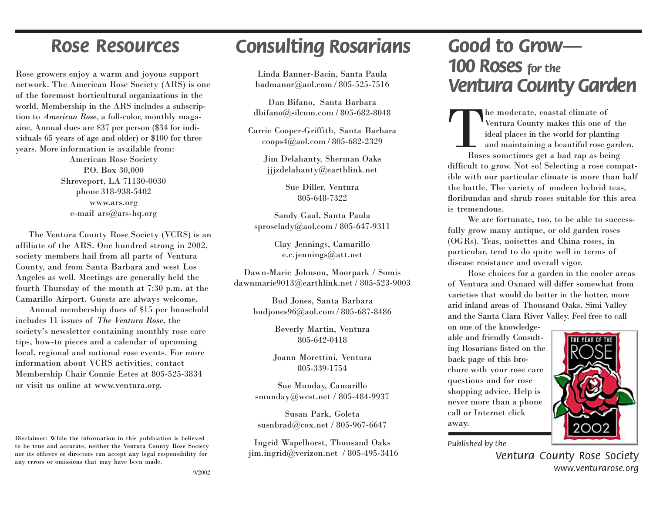Rose growers enjoy a warm and joyous support network. The American Rose Society (ARS) is one of the foremost horticultural organizations in the world. Membership in the ARS includes a subscription to *American Rose*, a full-color, monthly magazine. Annual dues are \$37 per person (\$34 for individuals 65 years of age and older) or \$100 for three years. More information is available from:

> American Rose Society P.O. Box 30,000 Shreveport, LA 71130-0030 phone 318-938-5402 www.ars.org e-mail ars@ars-hq.org

 The Ventura County Rose Society (VCRS) is an affiliate of the ARS. One hundred strong in 2002, society members hail from all parts of Ventura County, and from Santa Barbara and west Los Angeles as well. Meetings are generally held the fourth Thursday of the month at 7:30 p.m. at the Camarillo Airport. Guests are always welcome.

 Annual membership dues of \$15 per household includes 11 issues of *The Ventura Rose*, the society's newsletter containing monthly rose care tips, how-to pieces and a calendar of upcoming local, regional and national rose events. For more information about VCRS activities, contact Membership Chair Connie Estes at 805-525-3834 or visit us online at www.ventura.org.

Disclaimer: While the information in this publication is believed to be true and accurate, neither the Ventura County Rose Society nor its officers or directors can accept any legal responsibility for any errors or omissions that may have been made.

# *Rose Resources Consulting Rosarians*

Linda Banner-Bacin, Santa Paula badmanor@aol.com / 805-525-7516

Dan Bifano, Santa Barbara dbifano@silcom.com / 805-682-8048

Carrie Cooper-Griffith, Santa Barbara coops4@aol.com / 805-682-2329

> Jim Delahanty, Sherman Oaks jjjzdelahanty@earthlink.net

> > Sue Diller, Ventura 805-648-7322

Sandy Gaal, Santa Paula sproselady@aol.com / 805-647-9311

> Clay Jennings, Camarillo e.c.jennings@att.net

Dawn-Marie Johnson, Moorpark / Somis dawnmarie9013@earthlink.net / 805-523-9003

> Bud Jones, Santa Barbara budjones96@aol.com / 805-687-8486

> > Beverly Martin, Ventura 805-642-0418

Joann Morettini, Ventura 805-339-1754

Sue Munday, Camarillo smunday@west.net / 805-484-9937

Susan Park, Goleta susnbrad@cox.net / 805-967-6647

Ingrid Wapelhorst, Thousand Oaks jim.ingrid@verizon.net / 805-495-3416

## *Good to Grow— 100 Roses for the Ventura County Garden*

The moderate, coastal climate of Ventura County makes this one of the ideal places in the world for planting and maintaining a beautiful rose garden.

Roses sometimes get a bad rap as being difficult to grow. Not so! Selecting a rose compatible with our particular climate is more than half the battle. The variety of modern hybrid teas, floribundas and shrub roses suitable for this area is tremendous.

We are fortunate, too, to be able to successfully grow many antique, or old garden roses (OGRs). Teas, noisettes and China roses, in particular, tend to do quite well in terms of disease resistance and overall vigor.

Rose choices for a garden in the cooler areas of Ventura and Oxnard will differ somewhat from varieties that would do better in the hotter, more arid inland areas of Thousand Oaks, Simi Valley and the Santa Clara River Valley. Feel free to call

on one of the knowledgeable and friendly Consulting Rosarians listed on the back page of this brochure with your rose care questions and for rose shopping advice. Help is never more than a phone call or Internet click away.



*Published by the*

*Ventura County Rose Society www.venturarose.org*